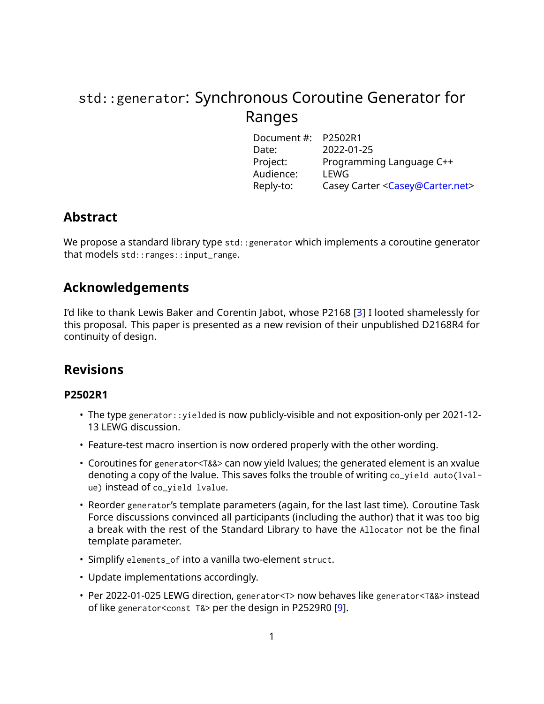# std::generator: Synchronous Coroutine Generator for Ranges

| Document #: P2502R1                                |
|----------------------------------------------------|
| 2022-01-25                                         |
| Programming Language C++                           |
| LEWG                                               |
| Casey Carter <casey@carter.net></casey@carter.net> |
|                                                    |

# **Abstract**

We propose a standard library type std: : generator which implements a coroutine generator that models std::ranges::input\_range.

# **Acknowledgements**

I'd like to thank Lewis Baker and Corentin Jabot, whose P2168 [\[3\]](#page-28-0) I looted shamelessly for this proposal. This paper is presented as a new revision of their unpublished D2168R4 for continuity of design.

# **Revisions**

# **P2502R1**

- The type generator::yielded is now publicly-visible and not exposition-only per 2021-12- 13 LEWG discussion.
- Feature-test macro insertion is now ordered properly with the other wording.
- Coroutines for generator<T&&> can now yield lvalues; the generated element is an xvalue denoting a copy of the lvalue. This saves folks the trouble of writing co\_yield auto(lvalue) instead of co\_yield lvalue.
- Reorder generator's template parameters (again, for the last last time). Coroutine Task Force discussions convinced all participants (including the author) that it was too big a break with the rest of the Standard Library to have the Allocator not be the final template parameter.
- Simplify elements\_of into a vanilla two-element struct.
- Update implementations accordingly.
- Per 2022-01-025 LEWG direction, generator<T> now behaves like generator<T&&> instead of like generator<const T&> per the design in P2529R0 [\[9\]](#page-28-1).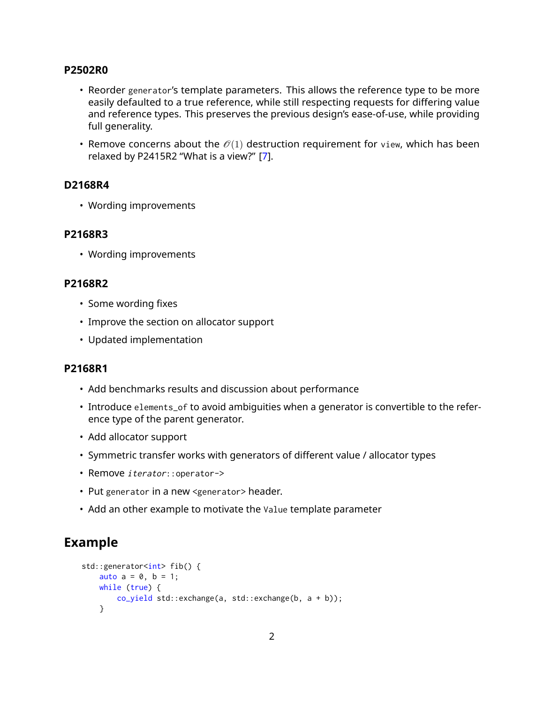# **P2502R0**

- Reorder generator's template parameters. This allows the reference type to be more easily defaulted to a true reference, while still respecting requests for differing value and reference types. This preserves the previous design's ease-of-use, while providing full generality.
- Remove concerns about the  $\mathcal{O}(1)$  destruction requirement for view, which has been relaxed by P2415R2 "What is a view?" [\[7\]](#page-28-2).

# **D2168R4**

• Wording improvements

# **P2168R3**

• Wording improvements

# **P2168R2**

- Some wording fixes
- Improve the section on allocator support
- Updated implementation

# **P2168R1**

- Add benchmarks results and discussion about performance
- Introduce elements\_of to avoid ambiguities when a generator is convertible to the reference type of the parent generator.
- Add allocator support
- Symmetric transfer works with generators of different value / allocator types
- Remove iterator::operator->
- Put generator in a new <generator> header.
- Add an other example to motivate the Value template parameter

# **Example**

```
std:: generator<int> fib() {
    auto a = 0, b = 1;
   while (true) {
       co_yield std::exchange(a, std::exchange(b, a + b));
    }
```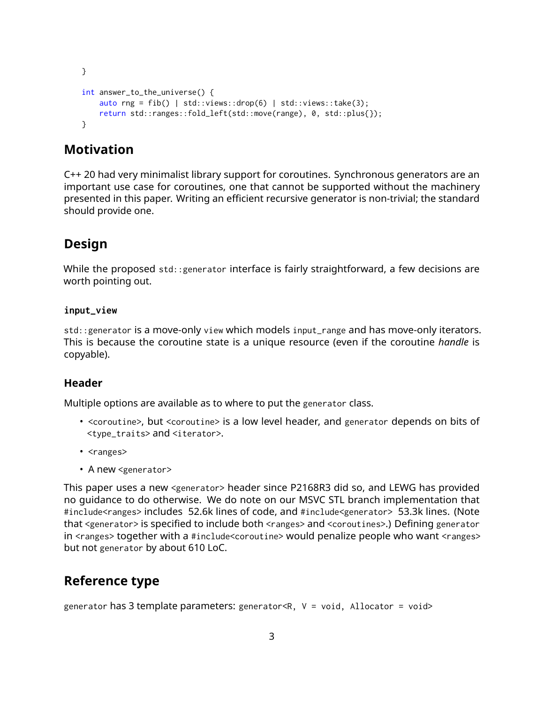```
}
int answer_to_the_universe() {
   auto rng = fib() | std::views::drop(6) | std::views::take(3);
   return std::ranges::fold_left(std::move(range), 0, std::plus{});
}
```
# **Motivation**

C++ 20 had very minimalist library support for coroutines. Synchronous generators are an important use case for coroutines, one that cannot be supported without the machinery presented in this paper. Writing an efficient recursive generator is non-trivial; the standard should provide one.

# **Design**

While the proposed std:: generator interface is fairly straightforward, a few decisions are worth pointing out.

# **input\_view**

std::generator is a move-only view which models input\_range and has move-only iterators. This is because the coroutine state is a unique resource (even if the coroutine *handle* is copyable).

# **Header**

Multiple options are available as to where to put the generator class.

- <coroutine>, but <coroutine> is a low level header, and generator depends on bits of <type\_traits> and <iterator>.
- <ranges>
- A new <generator>

This paper uses a new <generator> header since P2168R3 did so, and LEWG has provided no guidance to do otherwise. We do note on our MSVC STL branch implementation that #include<ranges> includes 52.6k lines of code, and #include<generator> 53.3k lines. (Note that <generator> is specified to include both <ranges> and <coroutines>.) Defining generator in <ranges> together with a #include<coroutine> would penalize people who want <ranges> but not generator by about 610 LoC.

# **Reference type**

generator has 3 template parameters: generator<R,  $V = void$ , Allocator = void>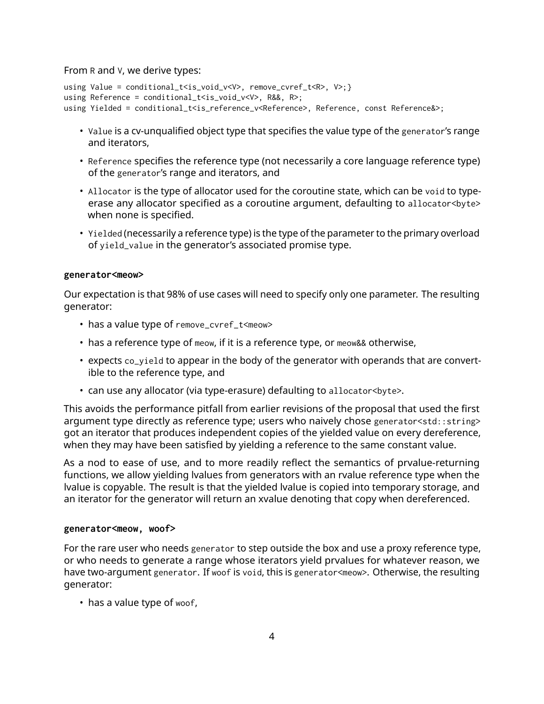From R and V, we derive types:

```
using Value = conditional_t<is_void_v<V>, remove_cvref_t<R>, V>;}
using Reference = conditional_t<is_void_v<V>, R&&, R>;
using Yielded = conditional_t<is_reference_v<Reference>, Reference, const Reference&>;
```
- Value is a cv-unqualified object type that specifies the value type of the generator's range and iterators,
- Reference specifies the reference type (not necessarily a core language reference type) of the generator's range and iterators, and
- Allocator is the type of allocator used for the coroutine state, which can be void to typeerase any allocator specified as a coroutine argument, defaulting to allocator<br/>byte> when none is specified.
- Yielded (necessarily a reference type) is the type of the parameter to the primary overload of yield\_value in the generator's associated promise type.

## **generator<meow>**

Our expectation is that 98% of use cases will need to specify only one parameter. The resulting generator:

- has a value type of remove\_cvref\_t<meow>
- has a reference type of meow, if it is a reference type, or meow&& otherwise,
- expects co\_yield to appear in the body of the generator with operands that are convertible to the reference type, and
- can use any allocator (via type-erasure) defaulting to allocator<byte>.

This avoids the performance pitfall from earlier revisions of the proposal that used the first argument type directly as reference type; users who naively chose generator<std::string> got an iterator that produces independent copies of the yielded value on every dereference, when they may have been satisfied by yielding a reference to the same constant value.

As a nod to ease of use, and to more readily reflect the semantics of prvalue-returning functions, we allow yielding lvalues from generators with an rvalue reference type when the lvalue is copyable. The result is that the yielded lvalue is copied into temporary storage, and an iterator for the generator will return an xvalue denoting that copy when dereferenced.

## **generator<meow, woof>**

For the rare user who needs generator to step outside the box and use a proxy reference type, or who needs to generate a range whose iterators yield prvalues for whatever reason, we have two-argument generator. If woof is void, this is generator<meow>. Otherwise, the resulting generator:

• has a value type of woof,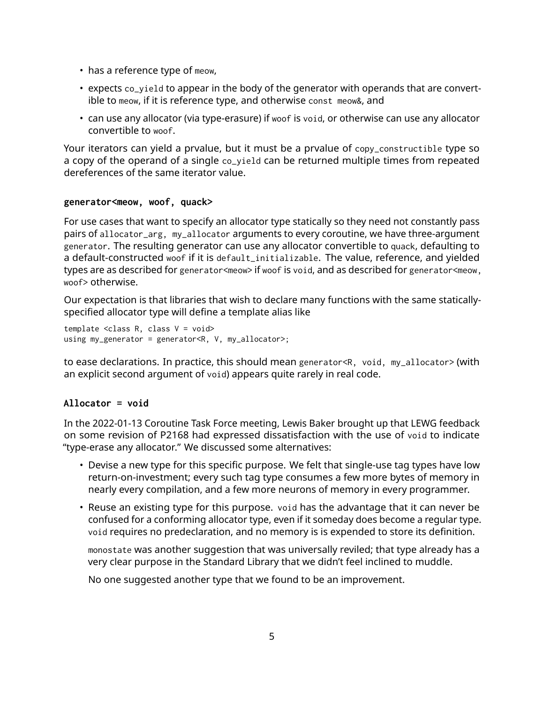- has a reference type of meow,
- expects co\_yield to appear in the body of the generator with operands that are convertible to meow, if it is reference type, and otherwise const meow&, and
- can use any allocator (via type-erasure) if woof is void, or otherwise can use any allocator convertible to woof.

Your iterators can yield a prvalue, but it must be a prvalue of copy\_constructible type so a copy of the operand of a single co\_yield can be returned multiple times from repeated dereferences of the same iterator value.

# **generator<meow, woof, quack>**

For use cases that want to specify an allocator type statically so they need not constantly pass pairs of allocator\_arg, my\_allocator arguments to every coroutine, we have three-argument generator. The resulting generator can use any allocator convertible to quack, defaulting to a default-constructed woof if it is default\_initializable. The value, reference, and yielded types are as described for generator<meow> if woof is void, and as described for generator<meow, woof> otherwise.

Our expectation is that libraries that wish to declare many functions with the same staticallyspecified allocator type will define a template alias like

template <class R, class V = void> using my\_generator = generator<R, V, my\_allocator>;

to ease declarations. In practice, this should mean generator<R, void, my\_allocator> (with an explicit second argument of void) appears quite rarely in real code.

# **Allocator = void**

In the 2022-01-13 Coroutine Task Force meeting, Lewis Baker brought up that LEWG feedback on some revision of P2168 had expressed dissatisfaction with the use of void to indicate "type-erase any allocator." We discussed some alternatives:

- Devise a new type for this specific purpose. We felt that single-use tag types have low return-on-investment; every such tag type consumes a few more bytes of memory in nearly every compilation, and a few more neurons of memory in every programmer.
- Reuse an existing type for this purpose. void has the advantage that it can never be confused for a conforming allocator type, even if it someday does become a regular type. void requires no predeclaration, and no memory is is expended to store its definition.

monostate was another suggestion that was universally reviled; that type already has a very clear purpose in the Standard Library that we didn't feel inclined to muddle.

No one suggested another type that we found to be an improvement.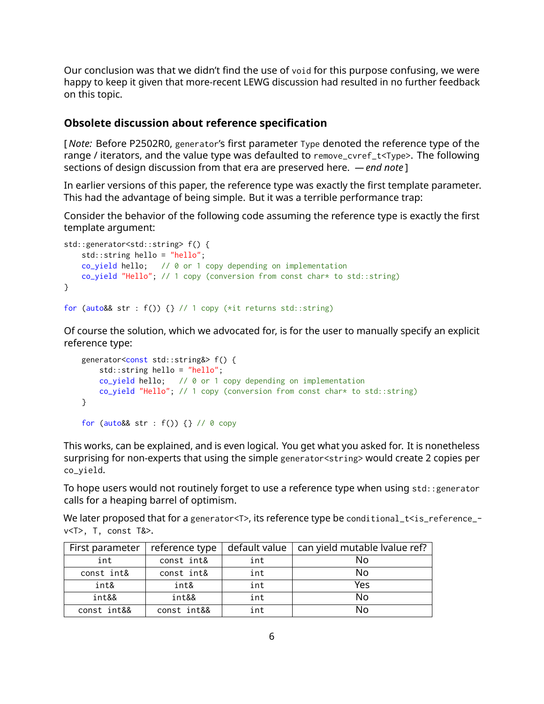Our conclusion was that we didn't find the use of void for this purpose confusing, we were happy to keep it given that more-recent LEWG discussion had resulted in no further feedback on this topic.

# **Obsolete discussion about reference specification**

[ *Note:* Before P2502R0, generator's first parameter Type denoted the reference type of the range / iterators, and the value type was defaulted to remove\_cvref\_t<Type>. The following sections of design discussion from that era are preserved here. *— end note* ]

In earlier versions of this paper, the reference type was exactly the first template parameter. This had the advantage of being simple. But it was a terrible performance trap:

Consider the behavior of the following code assuming the reference type is exactly the first template argument:

```
std::generator<std::string> f() {
    std::string hello = "hello";
   co_yield hello; // 0 or 1 copy depending on implementation
   co_yield "Hello"; // 1 copy (conversion from const char* to std::string)
}
for (auto&& str : f()) \{\} // 1 copy (*it returns std::string)
```
Of course the solution, which we advocated for, is for the user to manually specify an explicit reference type:

```
generator<const std::string&> f() {
    std::string hello = "hello";
   co_yield hello; // 0 or 1 copy depending on implementation
   co_yield "Hello"; // 1 copy (conversion from const char* to std::string)
}
for (auto&& str : f()) {} // 0 copy
```
This works, can be explained, and is even logical. You get what you asked for. It is nonetheless surprising for non-experts that using the simple generator<string> would create 2 copies per co\_yield.

To hope users would not routinely forget to use a reference type when using std::generator calls for a heaping barrel of optimism.

We later proposed that for a generator<T>, its reference type be conditional\_t<is\_reference\_v<T>, T, const T&>.

| First parameter | reference type |     | default value $ $ can yield mutable lvalue ref? |
|-----------------|----------------|-----|-------------------------------------------------|
| int             | const int&     | int | Nο                                              |
| const int&      | const int&     | int | No                                              |
| int&            | int&           | int | Yes                                             |
| int&&           | int&&          | int | No                                              |
| const int&&     | const int&&    | int | N٥                                              |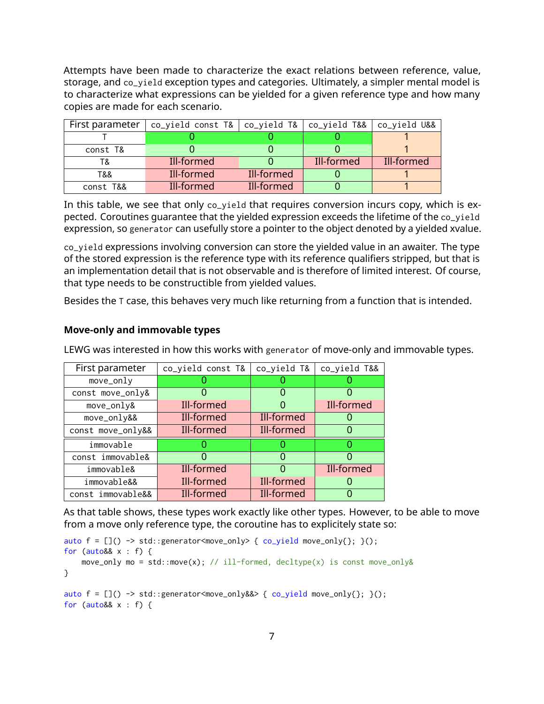Attempts have been made to characterize the exact relations between reference, value, storage, and co\_yield exception types and categories. Ultimately, a simpler mental model is to characterize what expressions can be yielded for a given reference type and how many copies are made for each scenario.

| First parameter | co_yield const $T& $ co_yield $T& $ co_yield $T& $ co_yield U&& |            |            |            |
|-----------------|-----------------------------------------------------------------|------------|------------|------------|
|                 |                                                                 |            |            |            |
| const T&        |                                                                 |            |            |            |
| T&              | Ill-formed                                                      |            | Ill-formed | Ill-formed |
| T&&             | Ill-formed                                                      | Ill-formed |            |            |
| const T&&       | Ill-formed                                                      | Ill-formed |            |            |

In this table, we see that only co\_yield that requires conversion incurs copy, which is expected. Coroutines guarantee that the yielded expression exceeds the lifetime of the co\_yield expression, so generator can usefully store a pointer to the object denoted by a yielded xvalue.

co\_yield expressions involving conversion can store the yielded value in an awaiter. The type of the stored expression is the reference type with its reference qualifiers stripped, but that is an implementation detail that is not observable and is therefore of limited interest. Of course, that type needs to be constructible from yielded values.

Besides the T case, this behaves very much like returning from a function that is intended.

## **Move-only and immovable types**

LEWG was interested in how this works with generator of move-only and immovable types.

| First parameter   | co_yield const T& | co_yield T& | co_yield T&& |
|-------------------|-------------------|-------------|--------------|
| move_only         |                   |             |              |
| const move_only&  |                   |             |              |
| move_only&        | Ill-formed        |             | Ill-formed   |
| move_only&&       | Ill-formed        | Ill-formed  |              |
| const move_only&& | Ill-formed        | Ill-formed  |              |
| immovable         |                   |             |              |
| const immovable&  | O                 |             | O            |
| immovable&        | Ill-formed        |             | Ill-formed   |
| immovable&&       | Ill-formed        | Ill-formed  |              |
| const immovable&& | Ill-formed        | Ill-formed  |              |

As that table shows, these types work exactly like other types. However, to be able to move from a move only reference type, the coroutine has to explicitely state so:

```
auto f = []() \rightarrow std::generator<move\_only> { co\_yield move\_only{}}; }for (auto&& x : f) {
   move_only mo = std::move(x); // ill-formed, decltype(x) is const move_only&
}
```
auto  $f = []() \rightarrow std::generator$ for (auto&& x : f) {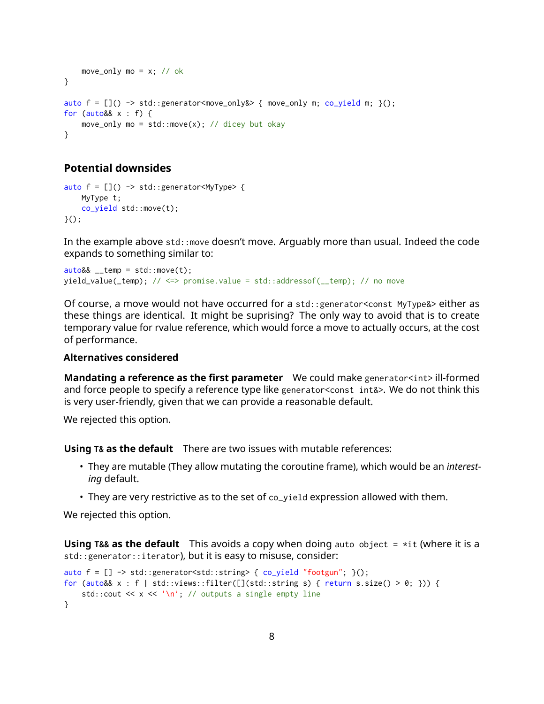```
move_only mo = x; // ok
}
auto f = []() \rightarrow std::generator<move\_only { move_only m; co_yield m; }();
for (auto&& x : f) {
   move_only mo = std:: move(x); // dicey but okay
}
```
# **Potential downsides**

```
auto f = []() \rightarrow std::generator<MyType> {
    MyType t;
    co_yield std::move(t);
\}();
```
In the example above std::move doesn't move. Arguably more than usual. Indeed the code expands to something similar to:

```
auto& _t = temp = std::move(t):yield_value(_temp); // <=> promise.value = std::addressof(__temp); // no move
```
Of course, a move would not have occurred for a std::generator<const MyType&> either as these things are identical. It might be suprising? The only way to avoid that is to create temporary value for rvalue reference, which would force a move to actually occurs, at the cost of performance.

## **Alternatives considered**

**Mandating a reference as the first parameter** We could make generator<int>ill-formed and force people to specify a reference type like generator<const int&>. We do not think this is very user-friendly, given that we can provide a reasonable default.

We rejected this option.

**Using T& as the default** There are two issues with mutable references:

- They are mutable (They allow mutating the coroutine frame), which would be an *interesting* default.
- They are very restrictive as to the set of co\_yield expression allowed with them.

We rejected this option.

**Using T&&** as the default This avoids a copy when doing auto object = \*it (where it is a std::generator::iterator), but it is easy to misuse, consider:

```
auto f = [] \rightarrow std::generator<std::string> { co\_yield "footgun"; } }for (auto&& x : f | std::views::filter([](std::string s) { return s.size() > 0; })) {
    std:: cout \ll x \ll \ln'; // outputs a single empty line
}
```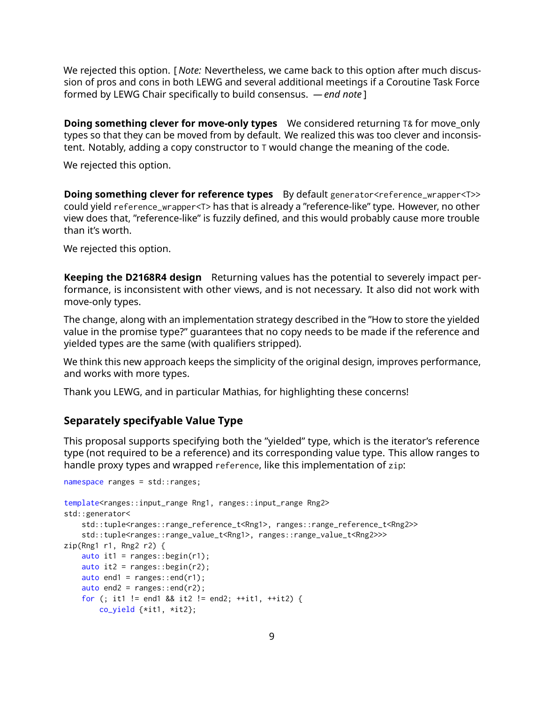We rejected this option. [ *Note:* Nevertheless, we came back to this option after much discussion of pros and cons in both LEWG and several additional meetings if a Coroutine Task Force formed by LEWG Chair specifically to build consensus. *— end note* ]

**Doing something clever for move-only types** We considered returning T& for move only types so that they can be moved from by default. We realized this was too clever and inconsistent. Notably, adding a copy constructor to T would change the meaning of the code.

We rejected this option.

**Doing something clever for reference types** By default generator<reference\_wrapper<T>> could yield reference\_wrapper<T> has that is already a "reference-like" type. However, no other view does that, "reference-like" is fuzzily defined, and this would probably cause more trouble than it's worth.

We rejected this option.

**Keeping the D2168R4 design** Returning values has the potential to severely impact performance, is inconsistent with other views, and is not necessary. It also did not work with move-only types.

The change, along with an implementation strategy described in the "How to store the yielded value in the promise type?" guarantees that no copy needs to be made if the reference and yielded types are the same (with qualifiers stripped).

We think this new approach keeps the simplicity of the original design, improves performance, and works with more types.

Thank you LEWG, and in particular Mathias, for highlighting these concerns!

# **Separately specifyable Value Type**

This proposal supports specifying both the "yielded" type, which is the iterator's reference type (not required to be a reference) and its corresponding value type. This allow ranges to handle proxy types and wrapped reference, like this implementation of zip:

```
namespace ranges = std::ranges;
template<ranges::input_range Rng1, ranges::input_range Rng2>
std::generator<
    std::tuple<ranges::range_reference_t<Rng1>, ranges::range_reference_t<Rng2>>
    std::tuple<ranges::range_value_t<Rng1>, ranges::range_value_t<Rng2>>>
zip(Rng1 r1, Rng2 r2) {
    auto it1 = ranges::begin(r1):auto it2 = range:begin(r2);auto end1 = \text{ranges}: end(\text{r1});
    auto end2 = \text{ranges}: end(r2);
    for (; it1 != end1 && it2 != end2; ++it1, ++it2) {
        co_yield {*it1, *it2};
```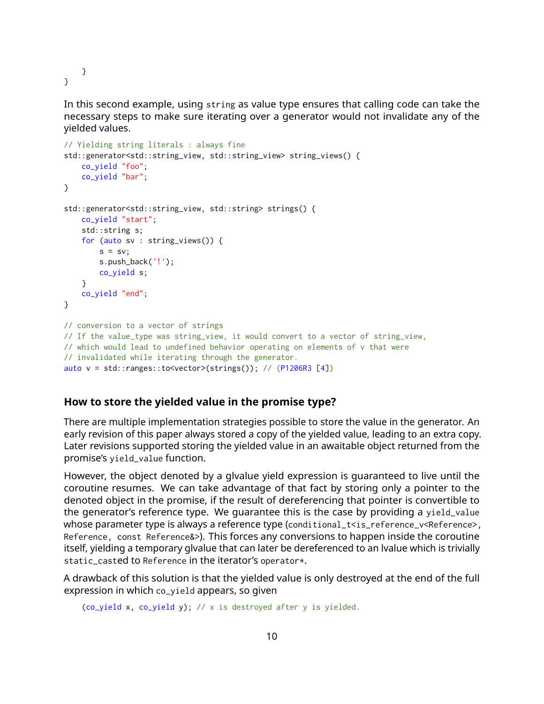}

}

In this second example, using string as value type ensures that calling code can take the necessary steps to make sure iterating over a generator would not invalidate any of the yielded values.

```
// Yielding string literals : always fine
std::generator<std::string_view, std::string_view> string_views() {
   co_yield "foo";
   co_yield "bar";
}
std::generator<std::string_view, std::string> strings() {
    co_yield "start";
    std::string s;
    for (auto sv : string_views()) {
       s = sv;s.push_back('!');
       co_yield s;
    }
   co_yield "end";
}
// conversion to a vector of strings
// If the value_type was string_view, it would convert to a vector of string_view,
// which would lead to undefined behavior operating on elements of v that were
// invalidated while iterating through the generator.
auto v = std::ranges::to<vector>(strings())(P1206R3[4])
```
# **How to store the yielded value in the promise type?**

There are multiple implementation strategies possible to store the value in the generator. An early revision of this paper always stored a copy of the yielded value, leading to an extra copy. Later revisions supported storing the yielded value in an awaitable object returned from the promise's yield\_value function.

However, the object denoted by a glvalue yield expression is guaranteed to live until the coroutine resumes. We can take advantage of that fact by storing only a pointer to the denoted object in the promise, if the result of dereferencing that pointer is convertible to the generator's reference type. We guarantee this is the case by providing a yield\_value whose parameter type is always a reference type (conditional\_t<is\_reference\_v<Reference>, Reference, const Reference&>). This forces any conversions to happen inside the coroutine itself, yielding a temporary glvalue that can later be dereferenced to an lvalue which is trivially static\_casted to Reference in the iterator's operator\*.

A drawback of this solution is that the yielded value is only destroyed at the end of the full expression in which co\_yield appears, so given

```
(co_yield x, co_yield y); // x is destroyed after y is yielded.
```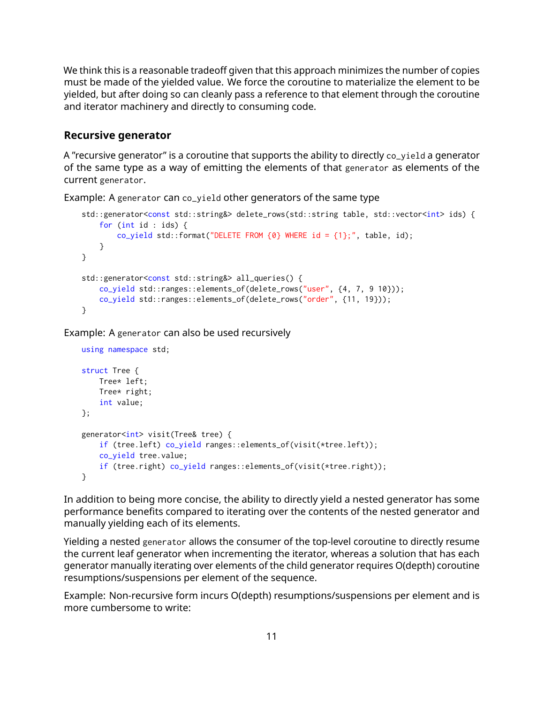We think this is a reasonable tradeoff given that this approach minimizes the number of copies must be made of the yielded value. We force the coroutine to materialize the element to be yielded, but after doing so can cleanly pass a reference to that element through the coroutine and iterator machinery and directly to consuming code.

### **Recursive generator**

A "recursive generator" is a coroutine that supports the ability to directly co\_yield a generator of the same type as a way of emitting the elements of that generator as elements of the current generator.

Example: A generator can co\_yield other generators of the same type

```
std::generator<const std::string&> delete_rows(std::string table, std::vector<int> ids) {
   for (int id : ids) {
       co_yield std::format("DELETE FROM \{0\} WHERE id = \{1\};", table, id);
   }
}
std::generator<const std::string&> all_queries() {
   co_yield std::ranges::elements_of(delete_rows("user", {4, 7, 9 10}));
   co_yield std::ranges::elements_of(delete_rows("order", {11, 19}));
}
```
Example: A generator can also be used recursively

```
using namespace std;
struct Tree {
   Tree* left;
   Tree* right;
   int value;
};
generator<int> visit(Tree& tree) {
   if (tree.left) co_yield ranges::elements_of(visit(*tree.left));
   co_yield tree.value;
   if (tree.right) co_yield ranges::elements_of(visit(*tree.right));
}
```
In addition to being more concise, the ability to directly yield a nested generator has some performance benefits compared to iterating over the contents of the nested generator and manually yielding each of its elements.

Yielding a nested generator allows the consumer of the top-level coroutine to directly resume the current leaf generator when incrementing the iterator, whereas a solution that has each generator manually iterating over elements of the child generator requires O(depth) coroutine resumptions/suspensions per element of the sequence.

Example: Non-recursive form incurs O(depth) resumptions/suspensions per element and is more cumbersome to write: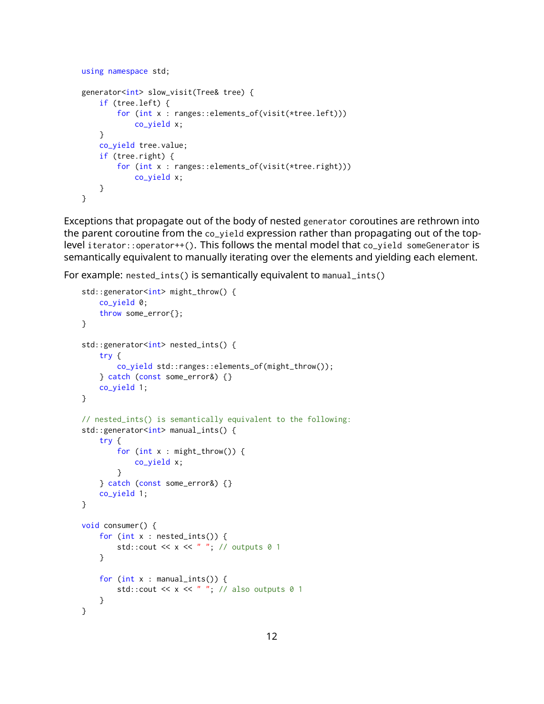```
using namespace std;
generator<int> slow_visit(Tree& tree) {
    if (tree.left) {
        for (int x : ranges::elements_of(visit(*tree.left)))
            co_yield x;
    }
    co_yield tree.value;
    if (tree.right) {
        for (int x : ranges::elements_of(visit(*tree.right)))
            co_yield x;
   }
}
```
Exceptions that propagate out of the body of nested generator coroutines are rethrown into the parent coroutine from the co\_yield expression rather than propagating out of the toplevel iterator::operator++(). This follows the mental model that co\_yield someGenerator is semantically equivalent to manually iterating over the elements and yielding each element.

For example: nested\_ints() is semantically equivalent to manual\_ints()

```
std::generator<int> might_throw() {
   co_yield 0;
    throw some_error{};
}
std::generator<int> nested_ints() {
    try {
        co_yield std::ranges::elements_of(might_throw());
    } catch (const some_error&) {}
   co_yield 1;
}
// nested_ints() is semantically equivalent to the following:
std::generator<int> manual_ints() {
    try {
        for (int x : might_throw()) {
           co_yield x;
        }
    } catch (const some_error&) {}
   co_yield 1;
}
void consumer() {
    for (int x : nested_ints()) {
        std::cout << x << " "; // outputs 0 1
    }
    for (int x : manual_ints()) {
        std:: cout << x << " "; // also outputs 0 1
    }
}
```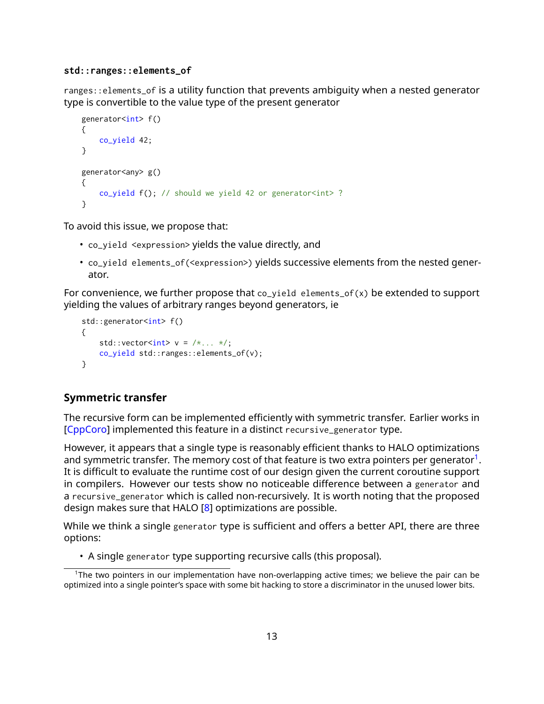### **std::ranges::elements\_of**

ranges::elements\_of is a utility function that prevents ambiguity when a nested generator type is convertible to the value type of the present generator

```
generator<int> f()
{
   co_yield 42;
}
generator<any> g()
{
   co_yield f(); // should we yield 42 or generator<int> ?
}
```
To avoid this issue, we propose that:

- co\_yield <expression> yields the value directly, and
- co\_yield elements\_of(<expression>) yields successive elements from the nested generator.

For convenience, we further propose that  $co$ -yield elements-of(x) be extended to support yielding the values of arbitrary ranges beyond generators, ie

```
std::generator<int> f()
{
     std::vector<int> v = \frac{\kappa}{1 + \kappa + \kappa + \kappa}co_yield std::ranges::elements_of(v);
}
```
# **Symmetric transfer**

The recursive form can be implemented efficiently with symmetric transfer. Earlier works in [\[CppCoro\]](#page-28-4) implemented this feature in a distinct recursive\_generator type.

However, it appears that a single type is reasonably efficient thanks to HALO optimizations and symmetric transfer. The memory cost of that feature is two extra pointers per generator $^1\!\!$  $^1\!\!$  $^1\!\!$  . It is difficult to evaluate the runtime cost of our design given the current coroutine support in compilers. However our tests show no noticeable difference between a generator and a recursive\_generator which is called non-recursively. It is worth noting that the proposed design makes sure that HALO [\[8\]](#page-28-5) optimizations are possible.

While we think a single generator type is sufficient and offers a better API, there are three options:

• A single generator type supporting recursive calls (this proposal).

<span id="page-12-0"></span> $1$ The two pointers in our implementation have non-overlapping active times; we believe the pair can be optimized into a single pointer's space with some bit hacking to store a discriminator in the unused lower bits.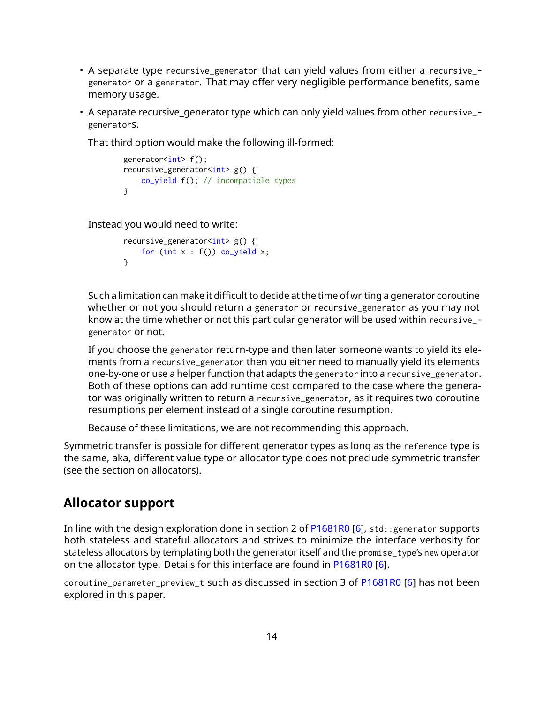- A separate type recursive\_generator that can yield values from either a recursive\_ generator or a generator. That may offer very negligible performance benefits, same memory usage.
- A separate recursive\_generator type which can only yield values from other recursive\_ generators.

That third option would make the following ill-formed:

```
generator<int> f();
recursive_generator<int> g() {
   co_yield f(); // incompatible types
}
```
Instead you would need to write:

```
recursive_generator<int> g() {
  for (int x : f()) co_yield x;
}
```
Such a limitation can make it difficult to decide at the time of writing a generator coroutine whether or not you should return a generator or recursive\_generator as you may not know at the time whether or not this particular generator will be used within recursive\_ generator or not.

If you choose the generator return-type and then later someone wants to yield its elements from a recursive\_generator then you either need to manually yield its elements one-by-one or use a helper function that adapts the generator into a recursive\_generator. Both of these options can add runtime cost compared to the case where the generator was originally written to return a recursive\_generator, as it requires two coroutine resumptions per element instead of a single coroutine resumption.

Because of these limitations, we are not recommending this approach.

Symmetric transfer is possible for different generator types as long as the reference type is the same, aka, different value type or allocator type does not preclude symmetric transfer (see the section on allocators).

# **Allocator support**

In line with the design exploration done in section 2 of  $P1681R0$  [\[6\]](#page-28-6), std: : generator supports both stateless and stateful allocators and strives to minimize the interface verbosity for stateless allocators by templating both the generator itself and the promise\_type's new operator on the allocator type. Details for this interface are found in [P1681R0](https://wg21.link/P1681R0) [\[6\]](#page-28-6).

coroutine\_parameter\_preview\_t such as discussed in section 3 of [P1681R0](https://wg21.link/P1681R0) [\[6\]](#page-28-6) has not been explored in this paper.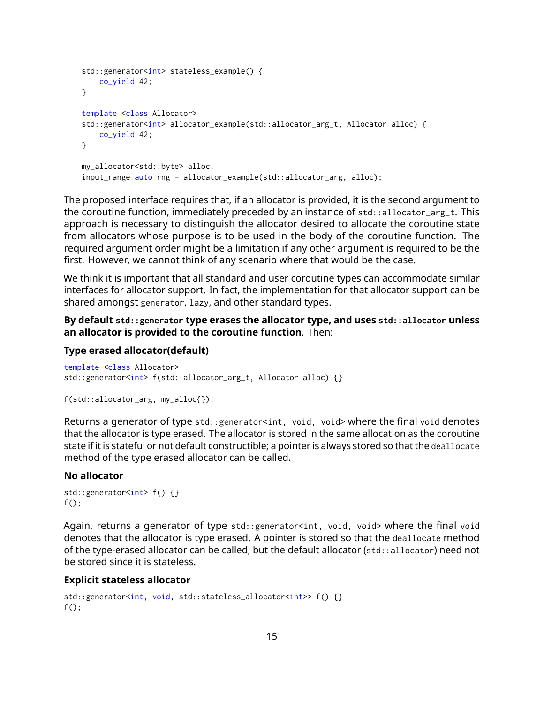```
std::generator<int> stateless_example() {
   co_yield 42;
}
template <class Allocator>
std::generator<int> allocator_example(std::allocator_arg_t, Allocator alloc) {
   co_yield 42;
}
my_allocator<std::byte> alloc;
input_range auto rng = allocator_example(std::allocator_arg, alloc);
```
The proposed interface requires that, if an allocator is provided, it is the second argument to the coroutine function, immediately preceded by an instance of  $std$ ::allocator\_arg\_t. This approach is necessary to distinguish the allocator desired to allocate the coroutine state from allocators whose purpose is to be used in the body of the coroutine function. The required argument order might be a limitation if any other argument is required to be the first. However, we cannot think of any scenario where that would be the case.

We think it is important that all standard and user coroutine types can accommodate similar interfaces for allocator support. In fact, the implementation for that allocator support can be shared amongst generator, lazy, and other standard types.

# **By default std::generator type erases the allocator type, and uses std::allocator unless an allocator is provided to the coroutine function**. Then:

### **Type erased allocator(default)**

template <class Allocator> std::generator<int> f(std::allocator\_arg\_t, Allocator alloc) {}

```
f(std::allocator_arg, my_alloc{});
```
Returns a generator of type std:: generator<int, void, void> where the final void denotes that the allocator is type erased. The allocator is stored in the same allocation as the coroutine state if it is stateful or not default constructible; a pointer is always stored so that the deallocate method of the type erased allocator can be called.

### **No allocator**

```
std::generator<int> f() {}
f();
```
Again, returns a generator of type std::generator<int, void, void> where the final void denotes that the allocator is type erased. A pointer is stored so that the deallocate method of the type-erased allocator can be called, but the default allocator (std::allocator) need not be stored since it is stateless.

### **Explicit stateless allocator**

```
std::generator<int, void, std::stateless_allocator<int>>f(){}
f();
```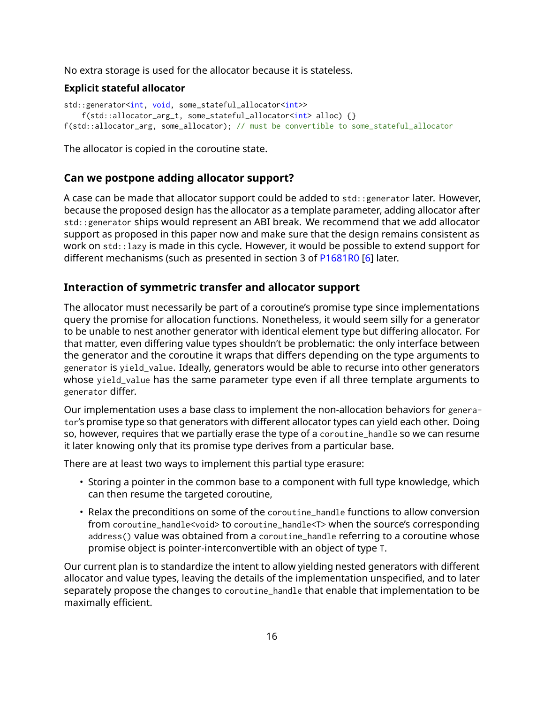No extra storage is used for the allocator because it is stateless.

# **Explicit stateful allocator**

```
std::generator<int, void, some_stateful_allocator<int>>
    f(std::allocator_arg_t, some_stateful_allocator<int> alloc) {}
f(std::allocator_arg, some_allocator); // must be convertible to some_stateful_allocator
```
The allocator is copied in the coroutine state.

# **Can we postpone adding allocator support?**

A case can be made that allocator support could be added to std::generator later. However, because the proposed design has the allocator as a template parameter, adding allocator after std::generator ships would represent an ABI break. We recommend that we add allocator support as proposed in this paper now and make sure that the design remains consistent as work on std::lazy is made in this cycle. However, it would be possible to extend support for different mechanisms (such as presented in section 3 of [P1681R0](https://wg21.link/P1681R0) [\[6\]](#page-28-6) later.

# **Interaction of symmetric transfer and allocator support**

The allocator must necessarily be part of a coroutine's promise type since implementations query the promise for allocation functions. Nonetheless, it would seem silly for a generator to be unable to nest another generator with identical element type but differing allocator. For that matter, even differing value types shouldn't be problematic: the only interface between the generator and the coroutine it wraps that differs depending on the type arguments to generator is yield\_value. Ideally, generators would be able to recurse into other generators whose yield\_value has the same parameter type even if all three template arguments to generator differ.

Our implementation uses a base class to implement the non-allocation behaviors for generator's promise type so that generators with different allocator types can yield each other. Doing so, however, requires that we partially erase the type of a coroutine\_handle so we can resume it later knowing only that its promise type derives from a particular base.

There are at least two ways to implement this partial type erasure:

- Storing a pointer in the common base to a component with full type knowledge, which can then resume the targeted coroutine,
- Relax the preconditions on some of the coroutine\_handle functions to allow conversion from coroutine\_handle<void> to coroutine\_handle<T> when the source's corresponding address() value was obtained from a coroutine\_handle referring to a coroutine whose promise object is pointer-interconvertible with an object of type T.

Our current plan is to standardize the intent to allow yielding nested generators with different allocator and value types, leaving the details of the implementation unspecified, and to later separately propose the changes to coroutine\_handle that enable that implementation to be maximally efficient.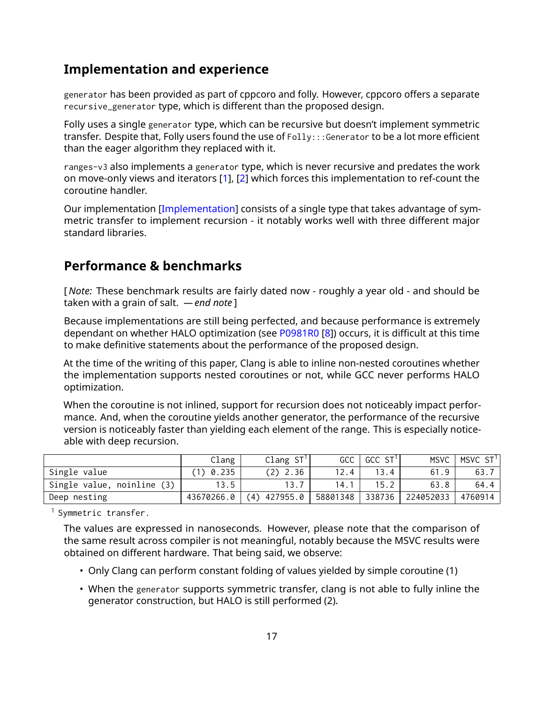# **Implementation and experience**

generator has been provided as part of cppcoro and folly. However, cppcoro offers a separate recursive\_generator type, which is different than the proposed design.

Folly uses a single generator type, which can be recursive but doesn't implement symmetric transfer. Despite that, Folly users found the use of Folly::: Generator to be a lot more efficient than the eager algorithm they replaced with it.

ranges-v3 also implements a generator type, which is never recursive and predates the work on move-only views and iterators [\[1\]](#page-28-7), [\[2\]](#page-28-8) which forces this implementation to ref-count the coroutine handler.

Our implementation [\[Implementation\]](#page-28-9) consists of a single type that takes advantage of symmetric transfer to implement recursion - it notably works well with three different major standard libraries.

# **Performance & benchmarks**

[ *Note:* These benchmark results are fairly dated now - roughly a year old - and should be taken with a grain of salt. *— end note* ]

Because implementations are still being perfected, and because performance is extremely dependant on whether HALO optimization (see [P0981R0](https://wg21.link/P0981R0) [\[8\]](#page-28-5)) occurs, it is difficult at this time to make definitive statements about the performance of the proposed design.

At the time of the writing of this paper, Clang is able to inline non-nested coroutines whether the implementation supports nested coroutines or not, while GCC never performs HALO optimization.

When the coroutine is not inlined, support for recursion does not noticeably impact performance. And, when the coroutine yields another generator, the performance of the recursive version is noticeably faster than yielding each element of the range. This is especially noticeable with deep recursion.

|                            | Clang      | Clang ST <sup>1</sup> | GCC      | GCC ST <sup>1</sup> | <b>MSVC</b> | MSVC ST <sup>1</sup> |
|----------------------------|------------|-----------------------|----------|---------------------|-------------|----------------------|
| Single value               | (1) 0.235  | $(2)$ 2.36            | 12.4     | 13.4                | 61.9        | 63.7                 |
| Single value, noinline (3) | 13.5       | 13.1                  | 14.      | 15.2                | 63.8        | 64.4                 |
| Deep nesting               | 43670266.0 | $(4)$ 427955.0        | 58801348 | 338736              | 224052033   | 4760914              |

<sup>1</sup> Symmetric transfer.

The values are expressed in nanoseconds. However, please note that the comparison of the same result across compiler is not meaningful, notably because the MSVC results were obtained on different hardware. That being said, we observe:

- Only Clang can perform constant folding of values yielded by simple coroutine (1)
- When the generator supports symmetric transfer, clang is not able to fully inline the generator construction, but HALO is still performed (2).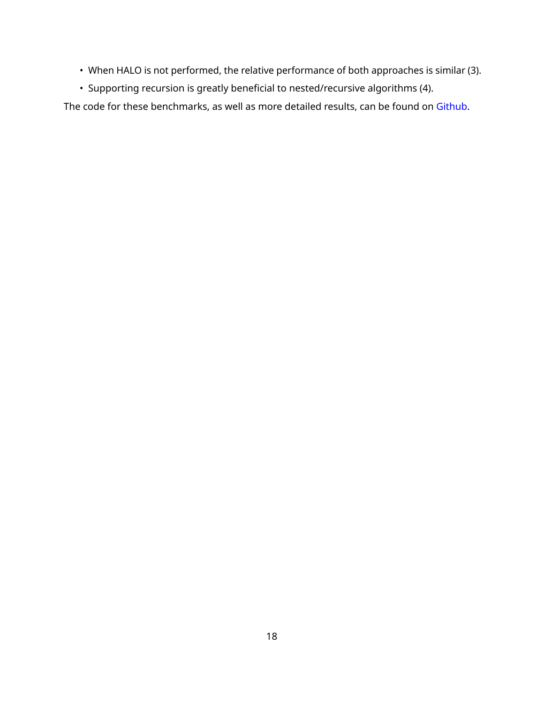- When HALO is not performed, the relative performance of both approaches is similar (3).
- Supporting recursion is greatly beneficial to nested/recursive algorithms (4).

The code for these benchmarks, as well as more detailed results, can be found on [Github.](https://github.com/cor3ntin/coro_benchmark)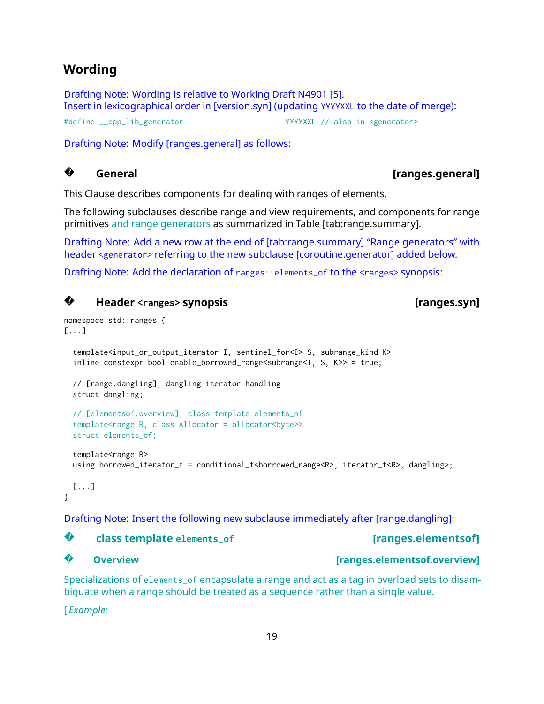# **Wording**

Drafting Note: Wording is relative to Working Draft N4901 [\[5\]](#page-28-10). Insert in lexicographical order in [version.syn] (updating YYYYXXL to the date of merge): #define \_\_cpp\_lib\_generator YYYYXXL // also in <generator>

Drafting Note: Modify [ranges.general] as follows:

# **?**

This Clause describes components for dealing with ranges of elements.

The following subclauses describe range and view requirements, and components for range primitives and range generators as summarized in Table [tab:range.summary].

Drafting Note: Add a new row at the end of [tab:range.summary] "Range generators" with header <generator> referring to the new subclause [coroutine.generator] added below.

Drafting Note: Add the declaration of ranges::elements\_of to the <ranges> synopsis:

### **?Header <ranges> synopsis [ranges.syn]**

namespace std::ranges { [...] template<input\_or\_output\_iterator I, sentinel\_for<I> S, subrange\_kind K> inline constexpr bool enable\_borrowed\_range<subrange<I, S, K>> = true; // [range.dangling], dangling iterator handling struct dangling; // [elementsof.overview], class template elements\_of template<range R, class Allocator = allocator<br/>shyte>> struct elements\_of; template<range R>

using borrowed\_iterator\_t = conditional\_t<borrowed\_range<R>, iterator\_t<R>, dangling>;

[...] }

Drafting Note: Insert the following new subclause immediately after [range.dangling]:

### **?class template elements\_of [ranges.elementsof]**

### **? Overview [ranges.elementsof.overview]**

Specializations of elements\_of encapsulate a range and act as a tag in overload sets to disambiguate when a range should be treated as a sequence rather than a single value.

[ *Example:*

# **General [ranges.general]**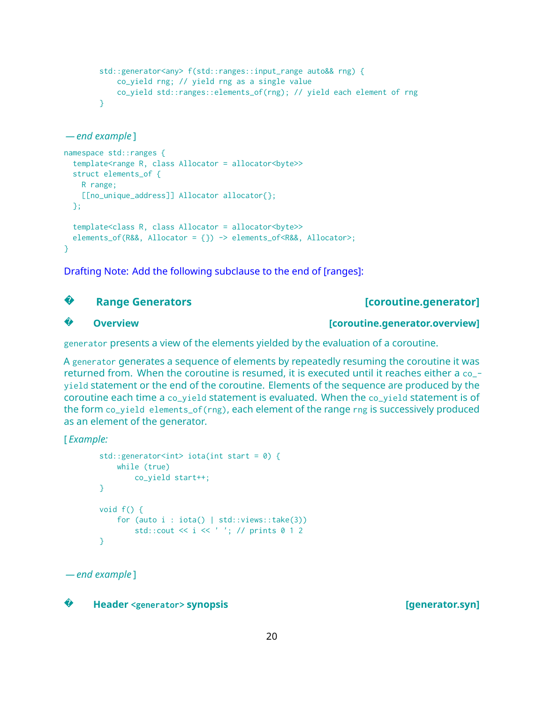```
std::generator<any> f(std::ranges::input_range auto&& rng) {
            co_yield rng; // yield rng as a single value
            co_yield std::ranges::elements_of(rng); // yield each element of rng
        }
— end example ]
namespace std::ranges {
  template<range R, class Allocator = allocator<br/>shyte>>
  struct elements of {
   R range;
    [[no_unique_address]] Allocator allocator{};
  };
  template<class R, class Allocator = allocator<byte>>
 elements_of(R&&, Allocator = {}) -> elements_of<R&&, Allocator>;
}
```
Drafting Note: Add the following subclause to the end of [ranges]:

# **?**

# **Range Generators [coroutine.generator]**

# **?**

**Overview [coroutine.generator.overview]**

generator presents a view of the elements yielded by the evaluation of a coroutine.

A generator generates a sequence of elements by repeatedly resuming the coroutine it was returned from. When the coroutine is resumed, it is executed until it reaches either a co\_ yield statement or the end of the coroutine. Elements of the sequence are produced by the coroutine each time a co\_yield statement is evaluated. When the co\_yield statement is of the form co\_yield elements\_of(rng), each element of the range rng is successively produced as an element of the generator.

[ *Example:*

```
std:: generator<int> iota(int start = \theta) {
   while (true)
       co_yield start++;
}
void f() {
   for (auto i : iota() | std::views::take(3))
        std::cout << i << ' '; // prints 0 1 2
}
```
*— end example* ]



**Header <generator> synopsis [generator.syn]**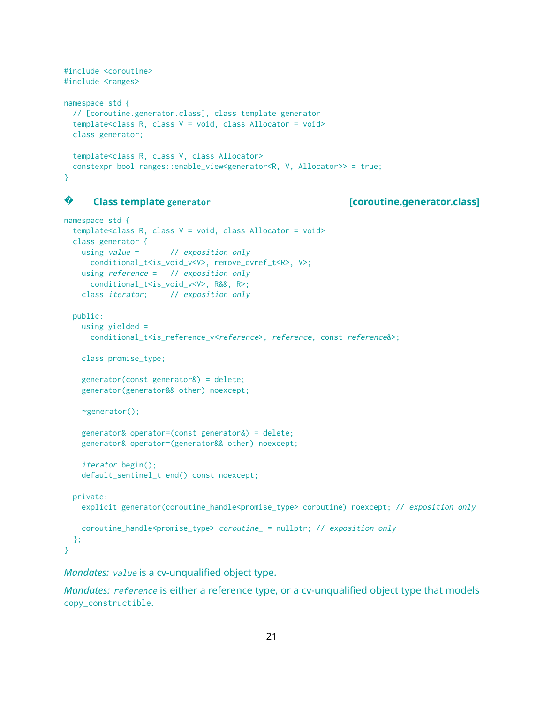```
#include <coroutine>
#include <ranges>
namespace std {
 // [coroutine.generator.class], class template generator
 template<class R, class V = void, class Allocator = void>
 class generator;
 template<class R, class V, class Allocator>
 constexpr bool ranges::enable_view<generator<R, V, Allocator>> = true;
}
```
# **?**

### **Class template** generator **and intervalse in the contract of the coronal contract class [Coroutine.generator.class]**

```
namespace std {
  template<class R, class V = void, class Allocator = void>
 class generator {
   using value = // exposition only
     conditional_t<is_void_v<V>, remove_cvref_t<R>, V>;
   using reference = // exposition only
     conditional_t<is_void_v<V>, R&&, R>;
   class iterator; // exposition only
 public:
   using yielded =
     conditional_t<is_reference_v<reference>, reference, const reference&>;
    class promise_type;
    generator(const generator&) = delete;
    generator(generator&& other) noexcept;
    ~generator();
    generator& operator=(const generator&) = delete;
    generator& operator=(generator&& other) noexcept;
    iterator begin();
    default_sentinel_t end() const noexcept;
 private:
    explicit generator(coroutine_handle<promise_type> coroutine) noexcept; // exposition only
   coroutine_handle<promise_type> coroutine_ = nullptr; // exposition only
 };
}
```
*Mandates:* value is a cv-unqualified object type.

*Mandates:* reference is either a reference type, or a cv-unqualified object type that models copy\_constructible.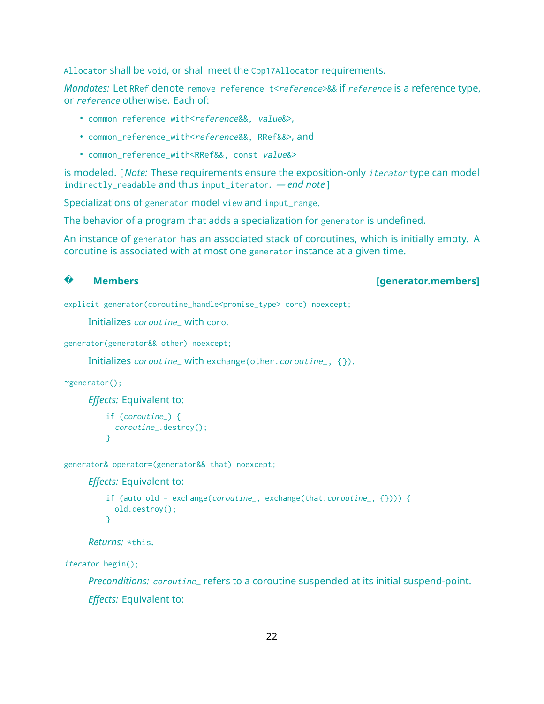Allocator shall be void, or shall meet the Cpp17Allocator requirements.

*Mandates:* Let RRef denote remove\_reference\_t<reference>&& if reference is a reference type, or reference otherwise. Each of:

- common\_reference\_with<reference&&, value&>,
- common\_reference\_with<reference&&, RRef&&>, and
- common\_reference\_with<RRef&&, const value&>

is modeled. [ *Note:* These requirements ensure the exposition-only iterator type can model indirectly\_readable and thus input\_iterator. *— end note* ]

Specializations of generator model view and input\_range.

The behavior of a program that adds a specialization for generator is undefined.

An instance of generator has an associated stack of coroutines, which is initially empty. A coroutine is associated with at most one generator instance at a given time.

# **?**

# **Members [generator.members]**

explicit generator(coroutine\_handle<promise\_type> coro) noexcept;

Initializes coroutine\_ with coro.

```
generator(generator&& other) noexcept;
```
Initializes coroutine\_ with exchange(other.coroutine\_, {}).

```
~generator();
```
*Effects:* Equivalent to:

```
if (coroutine_) {
  coroutine_.destroy();
}
```
generator& operator=(generator&& that) noexcept;

*Effects:* Equivalent to:

```
if (auto old = exchange(coroutine_, exchange(that.coroutine_, {}))) {
 old.destroy();
}
```
*Returns:* \*this.

iterator begin();

*Preconditions:* coroutine\_ refers to a coroutine suspended at its initial suspend-point. *Effects:* Equivalent to: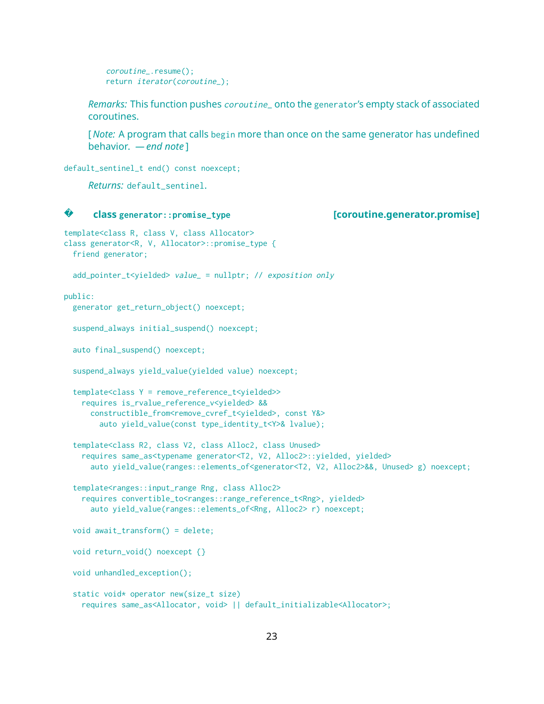```
coroutine_.resume();
return iterator(coroutine_);
```
*Remarks:* This function pushes coroutine\_ onto the generator's empty stack of associated coroutines.

[ *Note:* A program that calls begin more than once on the same generator has undefined behavior. *— end note* ]

default\_sentinel\_t end() const noexcept;

*Returns:* default\_sentinel.

### **?**

**class generator::promise\_type [coroutine.generator.promise]**

```
template<class R, class V, class Allocator>
class generator<R, V, Allocator>::promise_type {
 friend generator;
 add_pointer_t<yielded> value_ = nullptr; // exposition only
public:
 generator get_return_object() noexcept;
 suspend_always initial_suspend() noexcept;
 auto final_suspend() noexcept;
 suspend_always yield_value(yielded value) noexcept;
  template<class Y = remove_reference_t<yielded>>
   requires is_rvalue_reference_v<yielded> &&
     constructible_from<remove_cvref_t<yielded>, const Y&>
       auto yield_value(const type_identity_t<Y>& lvalue);
  template<class R2, class V2, class Alloc2, class Unused>
    requires same_as<typename generator<T2, V2, Alloc2>::yielded, yielded>
      auto yield_value(ranges::elements_of<generator<T2, V2, Alloc2>&&, Unused> g) noexcept;
  template<ranges::input_range Rng, class Alloc2>
    requires convertible_to<ranges::range_reference_t<Rng>, yielded>
      auto yield_value(ranges::elements_of<Rng, Alloc2> r) noexcept;
 void await_transform() = delete;
 void return_void() noexcept {}
 void unhandled_exception();
  static void* operator new(size_t size)
    requires same_as<Allocator, void> || default_initializable<Allocator>;
```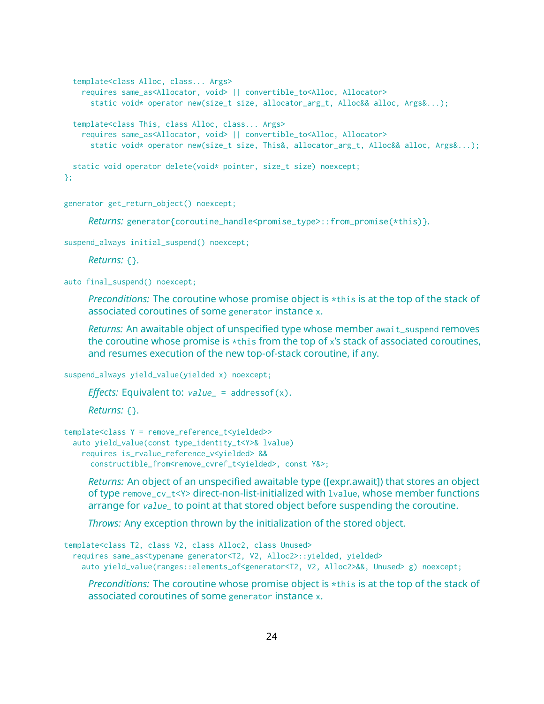```
template<class Alloc, class... Args>
    requires same_as<Allocator, void> || convertible_to<Alloc, Allocator>
      static void* operator new(size_t size, allocator_arg_t, Alloc&& alloc, Args&...);
  template<class This, class Alloc, class... Args>
   requires same_as<Allocator, void> || convertible_to<Alloc, Allocator>
      static void* operator new(size_t size, This&, allocator_arg_t, Alloc&& alloc, Args&...);
 static void operator delete(void* pointer, size_t size) noexcept;
};
```

```
generator get_return_object() noexcept;
```
*Returns:* generator{coroutine\_handle<promise\_type>::from\_promise(\*this)}.

```
suspend_always initial_suspend() noexcept;
```
*Returns:* {}.

auto final\_suspend() noexcept;

*Preconditions:* The coroutine whose promise object is \*this is at the top of the stack of associated coroutines of some generator instance x.

*Returns:* An awaitable object of unspecified type whose member await\_suspend removes the coroutine whose promise is  $*$ this from the top of  $x$ 's stack of associated coroutines, and resumes execution of the new top-of-stack coroutine, if any.

```
suspend_always yield_value(yielded x) noexcept;
```

```
Effects: Equivalent to: value_ = addressof(x).
```
*Returns:* {}.

```
template<class Y = remove_reference_t<yielded>>
 auto yield_value(const type_identity_t<Y>& lvalue)
   requires is_rvalue_reference_v<yielded> &&
     constructible_from<remove_cvref_t<yielded>, const Y&>;
```
*Returns:* An object of an unspecified awaitable type ([expr.await]) that stores an object of type remove\_cv\_t<Y> direct-non-list-initialized with lvalue, whose member functions arrange for value\_ to point at that stored object before suspending the coroutine.

*Throws:* Any exception thrown by the initialization of the stored object.

```
template<class T2, class V2, class Alloc2, class Unused>
  requires same_as<typename generator<T2, V2, Alloc2>::yielded, yielded>
    auto yield_value(ranges::elements_of<generator<T2, V2, Alloc2>&&, Unused> g) noexcept;
```
*Preconditions:* The coroutine whose promise object is \*this is at the top of the stack of associated coroutines of some generator instance x.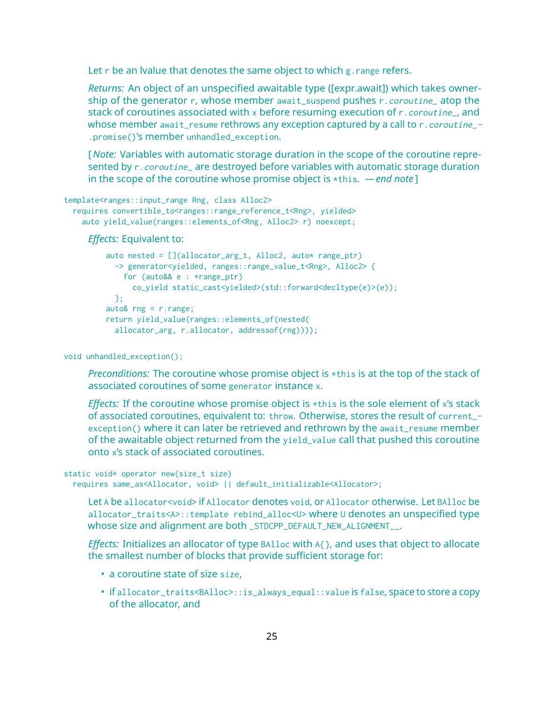Let r be an Ivalue that denotes the same object to which g. range refers.

*Returns:* An object of an unspecified awaitable type ([expr.await]) which takes ownership of the generator r, whose member await\_suspend pushes  $r$ . *coroutine*\_ atop the stack of coroutines associated with x before resuming execution of r. *coroutine\_*, and whose member await\_resume rethrows any exception captured by a call to r.*coroutine\_*-.promise()'s member unhandled\_exception.

[ *Note:* Variables with automatic storage duration in the scope of the coroutine represented by r.coroutine\_ are destroyed before variables with automatic storage duration in the scope of the coroutine whose promise object is \*this. *— end note* ]

```
template<ranges::input_range Rng, class Alloc2>
 requires convertible_to<ranges::range_reference_t<Rng>, yielded>
   auto yield_value(ranges::elements_of<Rng, Alloc2> r) noexcept;
```
### *Effects:* Equivalent to:

```
auto nested = [](allocator_arg_t, Alloc2, auto* range_ptr)
  -> generator<yielded, ranges::range_value_t<Rng>, Alloc2> {
    for (auto&& e : *range_ptr)
     co_yield static_cast<yielded>(std::forward<decltype(e)>(e));
 \mathcal{E}:
auto& rng = r.range;
return yield_value(ranges::elements_of(nested(
  allocator_arg, r.allocator, addressof(rng))));
```
void unhandled\_exception();

*Preconditions:* The coroutine whose promise object is \*this is at the top of the stack of associated coroutines of some generator instance x.

*Effects:* If the coroutine whose promise object is \*this is the sole element of x's stack of associated coroutines, equivalent to: throw. Otherwise, stores the result of current\_ exception() where it can later be retrieved and rethrown by the await\_resume member of the awaitable object returned from the yield\_value call that pushed this coroutine onto x's stack of associated coroutines.

```
static void* operator new(size_t size)
  requires same_as<Allocator, void> || default_initializable<Allocator>;
```
Let A be allocator<void> if Allocator denotes void, or Allocator otherwise. Let BAlloc be allocator\_traits<A>::template rebind\_alloc<U> where U denotes an unspecified type whose size and alignment are both \_STDCPP\_DEFAULT\_NEW\_ALIGNMENT\_\_.

*Effects:* Initializes an allocator of type BAlloc with A{}, and uses that object to allocate the smallest number of blocks that provide sufficient storage for:

- a coroutine state of size size,
- if allocator\_traits<BAlloc>::is\_always\_equal::value is false, space to store a copy of the allocator, and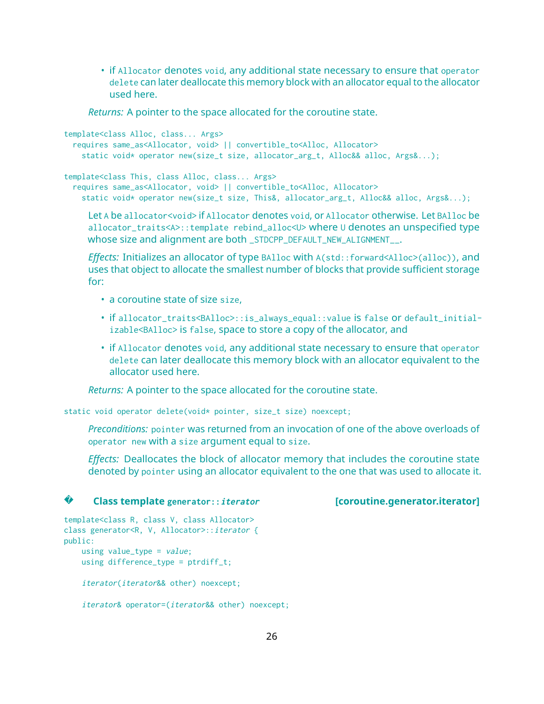• if Allocator denotes void, any additional state necessary to ensure that operator delete can later deallocate this memory block with an allocator equal to the allocator used here.

*Returns:* A pointer to the space allocated for the coroutine state.

```
template<class Alloc, class... Args>
 requires same_as<Allocator, void> || convertible_to<Alloc, Allocator>
   static void* operator new(size_t size, allocator_arg_t, Alloc&& alloc, Args&...);
template<class This, class Alloc, class... Args>
 requires same_as<Allocator, void> || convertible_to<Alloc, Allocator>
   static void* operator new(size_t size, This&, allocator_arg_t, Alloc&& alloc, Args&...);
```
Let A be allocator<void> if Allocator denotes void, or Allocator otherwise. Let BAlloc be allocator\_traits<A>::template rebind\_alloc<U> where U denotes an unspecified type whose size and alignment are both \_STDCPP\_DEFAULT\_NEW\_ALIGNMENT\_\_.

*Effects:* Initializes an allocator of type BAlloc with A(std::forward<Alloc>(alloc)), and uses that object to allocate the smallest number of blocks that provide sufficient storage for:

- a coroutine state of size size,
- if allocator\_traits<BAlloc>::is\_always\_equal::value is false or default\_initializable<BAlloc> is false, space to store a copy of the allocator, and
- if Allocator denotes void, any additional state necessary to ensure that operator delete can later deallocate this memory block with an allocator equivalent to the allocator used here.

*Returns:* A pointer to the space allocated for the coroutine state.

```
static void operator delete(void* pointer, size_t size) noexcept;
```
*Preconditions:* pointer was returned from an invocation of one of the above overloads of operator new with a size argument equal to size.

*Effects:* Deallocates the block of allocator memory that includes the coroutine state denoted by pointer using an allocator equivalent to the one that was used to allocate it.

```
Class template generator::iterator [coroutine.generator.iterator]
```

```
template<class R, class V, class Allocator>
class generator<R, V, Allocator>::iterator {
public:
   using value_type = value;
   using difference_type = ptrdiff_t;
    iterator(iterator&& other) noexcept;
```
**?**

```
iterator& operator=(iterator&& other) noexcept;
```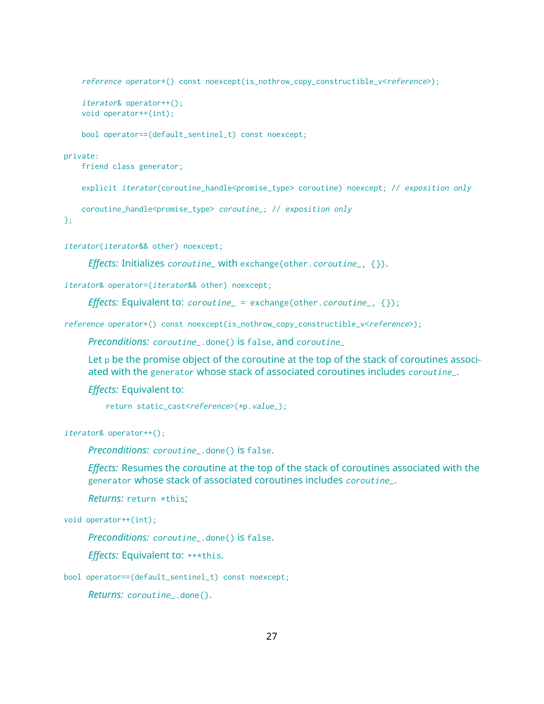```
reference operator*() const noexcept(is_nothrow_copy_constructible_v<reference>);
```

```
iterator& operator++();
void operator++(int);
```
bool operator==(default\_sentinel\_t) const noexcept;

### private:

```
friend class generator;
```
explicit *iterator*(coroutine\_handle<promise\_type> coroutine) noexcept; // exposition only

coroutine\_handle<promise\_type> coroutine\_; // exposition only

};

iterator(iterator&& other) noexcept;

*Effects:* Initializes coroutine\_ with exchange(other.coroutine\_, {}).

iterator& operator=(iterator&& other) noexcept;

*Effects:* Equivalent to: coroutine\_ = exchange(other.coroutine\_, {});

reference operator\*() const noexcept(is\_nothrow\_copy\_constructible\_v<reference>);

*Preconditions:* coroutine\_.done() is false, and coroutine\_

Let p be the promise object of the coroutine at the top of the stack of coroutines associated with the generator whose stack of associated coroutines includes *coroutine*...

*Effects:* Equivalent to:

```
return static_cast<reference>(*p.value_);
```

```
iterator& operator++();
```
*Preconditions:* coroutine\_.done() is false.

*Effects:* Resumes the coroutine at the top of the stack of coroutines associated with the generator whose stack of associated coroutines includes coroutine\_.

*Returns:* return \*this;

```
void operator++(int);
```
*Preconditions:* coroutine\_.done() is false.

*Effects:* Equivalent to: ++\*this.

bool operator==(default\_sentinel\_t) const noexcept;

*Returns:* coroutine\_.done().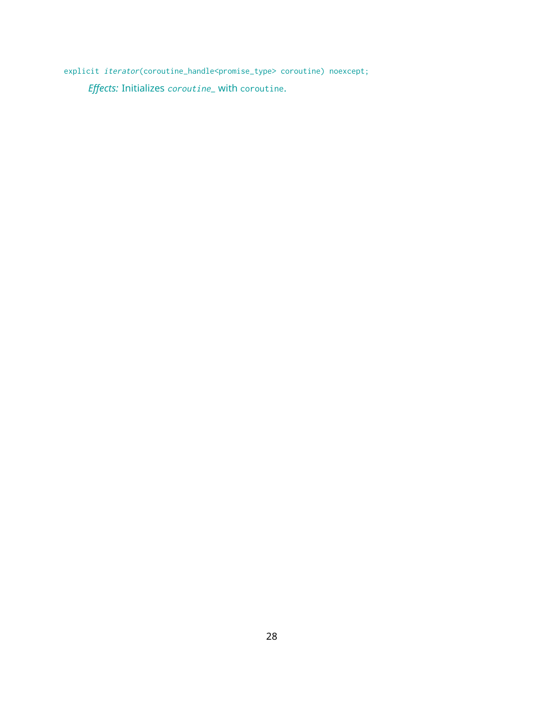explicit *iterator*(coroutine\_handle<promise\_type> coroutine) noexcept; *Effects:* Initializes coroutine\_ with coroutine.